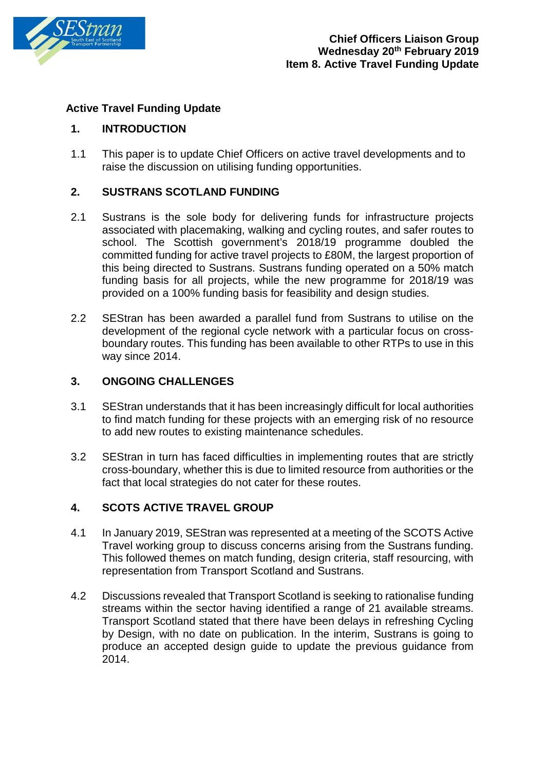

# **Active Travel Funding Update**

## **1. INTRODUCTION**

1.1 This paper is to update Chief Officers on active travel developments and to raise the discussion on utilising funding opportunities.

## **2. SUSTRANS SCOTLAND FUNDING**

- 2.1 Sustrans is the sole body for delivering funds for infrastructure projects associated with placemaking, walking and cycling routes, and safer routes to school. The Scottish government's 2018/19 programme doubled the committed funding for active travel projects to £80M, the largest proportion of this being directed to Sustrans. Sustrans funding operated on a 50% match funding basis for all projects, while the new programme for 2018/19 was provided on a 100% funding basis for feasibility and design studies.
- 2.2 SEStran has been awarded a parallel fund from Sustrans to utilise on the development of the regional cycle network with a particular focus on crossboundary routes. This funding has been available to other RTPs to use in this way since 2014.

#### **3. ONGOING CHALLENGES**

- 3.1 SEStran understands that it has been increasingly difficult for local authorities to find match funding for these projects with an emerging risk of no resource to add new routes to existing maintenance schedules.
- 3.2 SEStran in turn has faced difficulties in implementing routes that are strictly cross-boundary, whether this is due to limited resource from authorities or the fact that local strategies do not cater for these routes.

## **4. SCOTS ACTIVE TRAVEL GROUP**

- 4.1 In January 2019, SEStran was represented at a meeting of the SCOTS Active Travel working group to discuss concerns arising from the Sustrans funding. This followed themes on match funding, design criteria, staff resourcing, with representation from Transport Scotland and Sustrans.
- 4.2 Discussions revealed that Transport Scotland is seeking to rationalise funding streams within the sector having identified a range of 21 available streams. Transport Scotland stated that there have been delays in refreshing Cycling by Design, with no date on publication. In the interim, Sustrans is going to produce an accepted design guide to update the previous guidance from 2014.